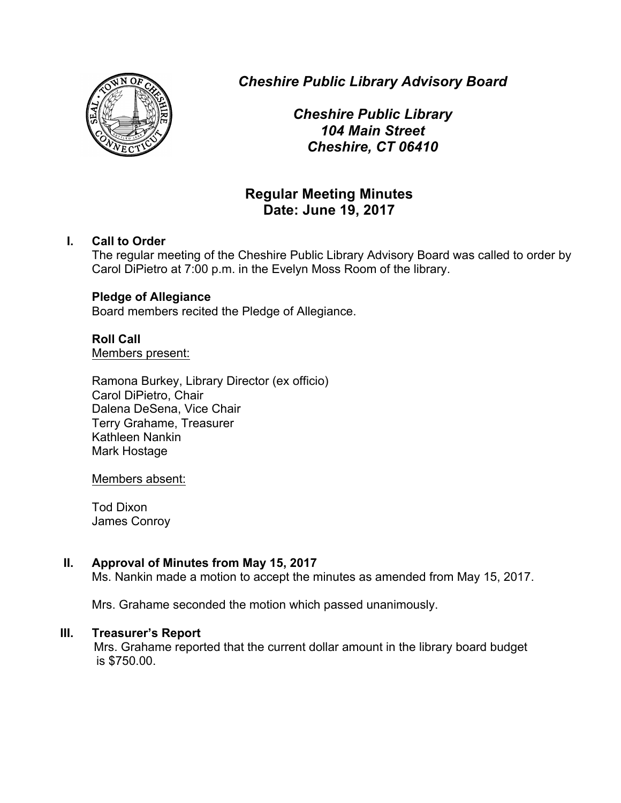

*Cheshire Public Library Advisory Board*

*Cheshire Public Library 104 Main Street Cheshire, CT 06410*

# **Regular Meeting Minutes Date: June 19, 2017**

# **I. Call to Order**

The regular meeting of the Cheshire Public Library Advisory Board was called to order by Carol DiPietro at 7:00 p.m. in the Evelyn Moss Room of the library.

#### **Pledge of Allegiance**

Board members recited the Pledge of Allegiance.

# **Roll Call**

Members present:

Ramona Burkey, Library Director (ex officio) Carol DiPietro, Chair Dalena DeSena, Vice Chair Terry Grahame, Treasurer Kathleen Nankin Mark Hostage

Members absent:

Tod Dixon James Conroy

# **II. Approval of Minutes from May 15, 2017**

Ms. Nankin made a motion to accept the minutes as amended from May 15, 2017.

Mrs. Grahame seconded the motion which passed unanimously.

#### **III. Treasurer's Report**

Mrs. Grahame reported that the current dollar amount in the library board budget is \$750.00.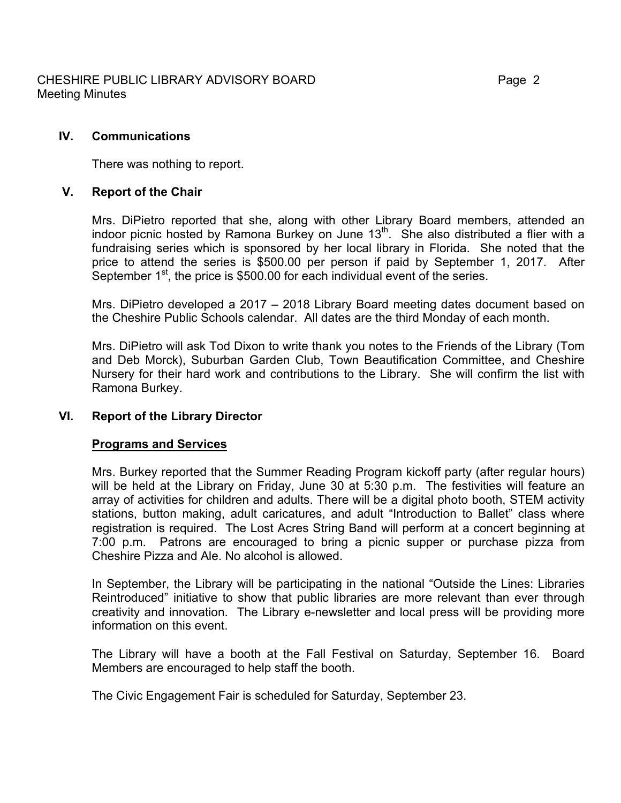There was nothing to report.

# **V. Report of the Chair**

Mrs. DiPietro reported that she, along with other Library Board members, attended an indoor picnic hosted by Ramona Burkey on June  $13<sup>th</sup>$ . She also distributed a flier with a fundraising series which is sponsored by her local library in Florida. She noted that the price to attend the series is \$500.00 per person if paid by September 1, 2017. After September 1<sup>st</sup>, the price is \$500.00 for each individual event of the series.

Mrs. DiPietro developed a 2017 – 2018 Library Board meeting dates document based on the Cheshire Public Schools calendar. All dates are the third Monday of each month.

Mrs. DiPietro will ask Tod Dixon to write thank you notes to the Friends of the Library (Tom and Deb Morck), Suburban Garden Club, Town Beautification Committee, and Cheshire Nursery for their hard work and contributions to the Library. She will confirm the list with Ramona Burkey.

# **VI. Report of the Library Director**

#### **Programs and Services**

Mrs. Burkey reported that the Summer Reading Program kickoff party (after regular hours) will be held at the Library on Friday, June 30 at 5:30 p.m. The festivities will feature an array of activities for children and adults. There will be a digital photo booth, STEM activity stations, button making, adult caricatures, and adult "Introduction to Ballet" class where registration is required. The Lost Acres String Band will perform at a concert beginning at 7:00 p.m. Patrons are encouraged to bring a picnic supper or purchase pizza from Cheshire Pizza and Ale. No alcohol is allowed.

In September, the Library will be participating in the national "Outside the Lines: Libraries Reintroduced" initiative to show that public libraries are more relevant than ever through creativity and innovation. The Library e-newsletter and local press will be providing more information on this event.

The Library will have a booth at the Fall Festival on Saturday, September 16. Board Members are encouraged to help staff the booth.

The Civic Engagement Fair is scheduled for Saturday, September 23.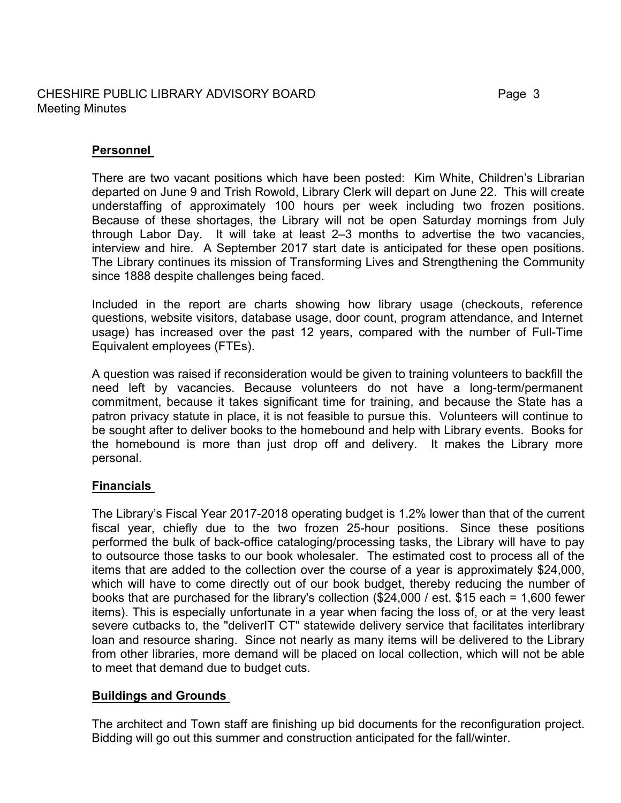# CHESHIRE PUBLIC LIBRARY ADVISORY BOARD Page 3 Meeting Minutes

# **Personnel**

There are two vacant positions which have been posted: Kim White, Children's Librarian departed on June 9 and Trish Rowold, Library Clerk will depart on June 22. This will create understaffing of approximately 100 hours per week including two frozen positions. Because of these shortages, the Library will not be open Saturday mornings from July through Labor Day. It will take at least 2–3 months to advertise the two vacancies, interview and hire. A September 2017 start date is anticipated for these open positions. The Library continues its mission of Transforming Lives and Strengthening the Community since 1888 despite challenges being faced.

Included in the report are charts showing how library usage (checkouts, reference questions, website visitors, database usage, door count, program attendance, and Internet usage) has increased over the past 12 years, compared with the number of Full-Time Equivalent employees (FTEs).

A question was raised if reconsideration would be given to training volunteers to backfill the need left by vacancies. Because volunteers do not have a long-term/permanent commitment, because it takes significant time for training, and because the State has a patron privacy statute in place, it is not feasible to pursue this. Volunteers will continue to be sought after to deliver books to the homebound and help with Library events. Books for the homebound is more than just drop off and delivery. It makes the Library more personal.

# **Financials**

The Library's Fiscal Year 2017-2018 operating budget is 1.2% lower than that of the current fiscal year, chiefly due to the two frozen 25-hour positions. Since these positions performed the bulk of back-office cataloging/processing tasks, the Library will have to pay to outsource those tasks to our book wholesaler. The estimated cost to process all of the items that are added to the collection over the course of a year is approximately \$24,000, which will have to come directly out of our book budget, thereby reducing the number of books that are purchased for the library's collection (\$24,000 / est. \$15 each = 1,600 fewer items). This is especially unfortunate in a year when facing the loss of, or at the very least severe cutbacks to, the "deliverIT CT" statewide delivery service that facilitates interlibrary loan and resource sharing. Since not nearly as many items will be delivered to the Library from other libraries, more demand will be placed on local collection, which will not be able to meet that demand due to budget cuts.

# **Buildings and Grounds**

The architect and Town staff are finishing up bid documents for the reconfiguration project. Bidding will go out this summer and construction anticipated for the fall/winter.